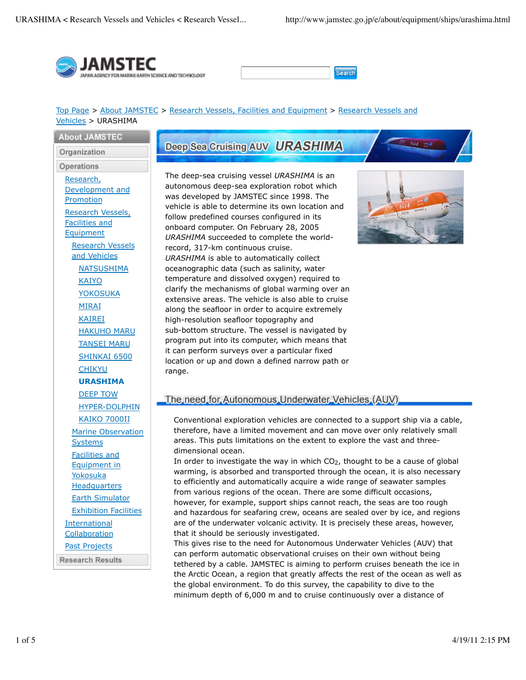



#### Top Page > About JAMSTEC > Research Vessels, Facilities and Equipment > Research Vessels and Vehicles > URASHIMA

**About JAMSTEC** Organization

Operations

Research, Development and Promotion Research Vessels, Facilities and Equipment Research Vessels and Vehicles **NATSUSHIMA** KAIYO YOKOSUKA MIRAI KAIREI HAKUHO MARU TANSEI MARU SHINKAI 6500 CHIKYU **URASHIMA** DEEP TOW HYPER-DOLPHIN KAIKO 7000II Marine Observation Systems Facilities and Equipment in Yokosuka **Headquarters** Earth Simulator Exhibition Facilities International **Collaboration** Past Projects **Research Results** 

# Deep Sea Cruising AUV URASHIMA

The deep-sea cruising vessel *URASHIMA* is an autonomous deep-sea exploration robot which was developed by JAMSTEC since 1998. The vehicle is able to determine its own location and follow predefined courses configured in its onboard computer. On February 28, 2005 *URASHIMA* succeeded to complete the worldrecord, 317-km continuous cruise. *URASHIMA* is able to automatically collect oceanographic data (such as salinity, water temperature and dissolved oxygen) required to clarify the mechanisms of global warming over an extensive areas. The vehicle is also able to cruise along the seafloor in order to acquire extremely high-resolution seafloor topography and sub-bottom structure. The vessel is navigated by program put into its computer, which means that it can perform surveys over a particular fixed location or up and down a defined narrow path or range.



## The need for Autonomous Underwater Vehicles (AUV)

Conventional exploration vehicles are connected to a support ship via a cable, therefore, have a limited movement and can move over only relatively small areas. This puts limitations on the extent to explore the vast and threedimensional ocean.

In order to investigate the way in which  $CO<sub>2</sub>$ , thought to be a cause of global warming, is absorbed and transported through the ocean, it is also necessary to efficiently and automatically acquire a wide range of seawater samples from various regions of the ocean. There are some difficult occasions, however, for example, support ships cannot reach, the seas are too rough and hazardous for seafaring crew, oceans are sealed over by ice, and regions are of the underwater volcanic activity. It is precisely these areas, however, that it should be seriously investigated.

This gives rise to the need for Autonomous Underwater Vehicles (AUV) that can perform automatic observational cruises on their own without being tethered by a cable. JAMSTEC is aiming to perform cruises beneath the ice in the Arctic Ocean, a region that greatly affects the rest of the ocean as well as the global environment. To do this survey, the capability to dive to the minimum depth of 6,000 m and to cruise continuously over a distance of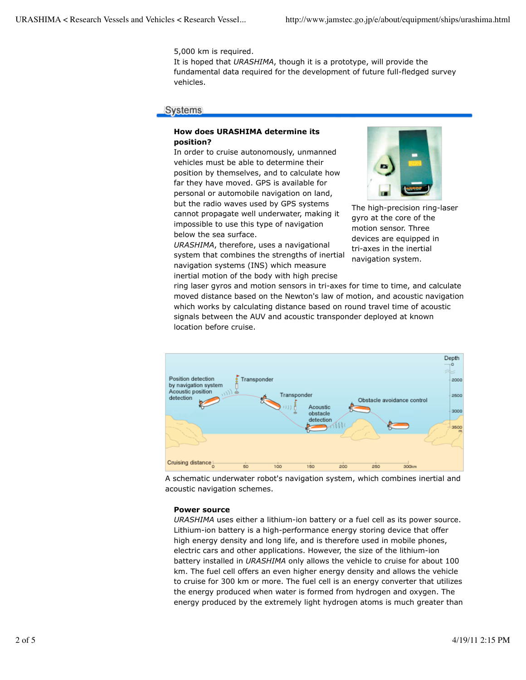5,000 km is required.

It is hoped that *URASHIMA*, though it is a prototype, will provide the fundamental data required for the development of future full-fledged survey vehicles.

#### **Systems**

#### **How does URASHIMA determine its position?**

In order to cruise autonomously, unmanned vehicles must be able to determine their position by themselves, and to calculate how far they have moved. GPS is available for personal or automobile navigation on land, but the radio waves used by GPS systems cannot propagate well underwater, making it impossible to use this type of navigation below the sea surface.

*URASHIMA*, therefore, uses a navigational system that combines the strengths of inertial navigation systems (INS) which measure inertial motion of the body with high precise



The high-precision ring-laser gyro at the core of the motion sensor. Three devices are equipped in tri-axes in the inertial navigation system.

ring laser gyros and motion sensors in tri-axes for time to time, and calculate moved distance based on the Newton's law of motion, and acoustic navigation which works by calculating distance based on round travel time of acoustic signals between the AUV and acoustic transponder deployed at known location before cruise.



A schematic underwater robot's navigation system, which combines inertial and acoustic navigation schemes.

#### **Power source**

*URASHIMA* uses either a lithium-ion battery or a fuel cell as its power source. Lithium-ion battery is a high-performance energy storing device that offer high energy density and long life, and is therefore used in mobile phones, electric cars and other applications. However, the size of the lithium-ion battery installed in *URASHIMA* only allows the vehicle to cruise for about 100 km. The fuel cell offers an even higher energy density and allows the vehicle to cruise for 300 km or more. The fuel cell is an energy converter that utilizes the energy produced when water is formed from hydrogen and oxygen. The energy produced by the extremely light hydrogen atoms is much greater than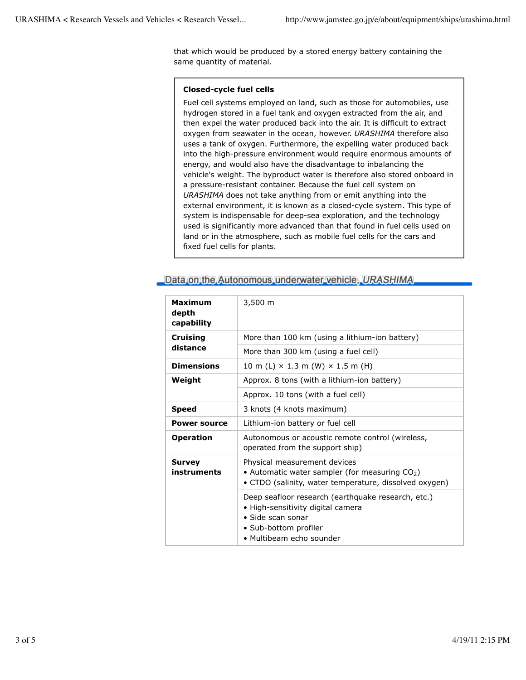that which would be produced by a stored energy battery containing the same quantity of material.

#### **Closed-cycle fuel cells**

Fuel cell systems employed on land, such as those for automobiles, use hydrogen stored in a fuel tank and oxygen extracted from the air, and then expel the water produced back into the air. It is difficult to extract oxygen from seawater in the ocean, however. *URASHIMA* therefore also uses a tank of oxygen. Furthermore, the expelling water produced back into the high-pressure environment would require enormous amounts of energy, and would also have the disadvantage to inbalancing the vehicle's weight. The byproduct water is therefore also stored onboard in a pressure-resistant container. Because the fuel cell system on *URASHIMA* does not take anything from or emit anything into the external environment, it is known as a closed-cycle system. This type of system is indispensable for deep-sea exploration, and the technology used is significantly more advanced than that found in fuel cells used on land or in the atmosphere, such as mobile fuel cells for the cars and fixed fuel cells for plants.

| Maximum<br>depth<br>capability | $3,500 \; m$                                                                                                                                                      |
|--------------------------------|-------------------------------------------------------------------------------------------------------------------------------------------------------------------|
| <b>Cruising</b><br>distance    | More than 100 km (using a lithium-ion battery)                                                                                                                    |
|                                | More than 300 km (using a fuel cell)                                                                                                                              |
| <b>Dimensions</b>              | $10 \text{ m}$ (L) $\times$ 1.3 m (W) $\times$ 1.5 m (H)                                                                                                          |
| Weight                         | Approx. 8 tons (with a lithium-ion battery)                                                                                                                       |
|                                | Approx. 10 tons (with a fuel cell)                                                                                                                                |
| <b>Speed</b>                   | 3 knots (4 knots maximum)                                                                                                                                         |
| <b>Power source</b>            | Lithium-ion battery or fuel cell                                                                                                                                  |
| <b>Operation</b>               | Autonomous or acoustic remote control (wireless,<br>operated from the support ship)                                                                               |
| <b>Survey</b><br>instruments   | Physical measurement devices<br>• Automatic water sampler (for measuring $CO2$ )<br>• CTDO (salinity, water temperature, dissolved oxygen)                        |
|                                | Deep seafloor research (earthquake research, etc.)<br>• High-sensitivity digital camera<br>• Side scan sonar<br>• Sub-bottom profiler<br>• Multibeam echo sounder |

## Data on the Autonomous underwater vehicle, URASHIMA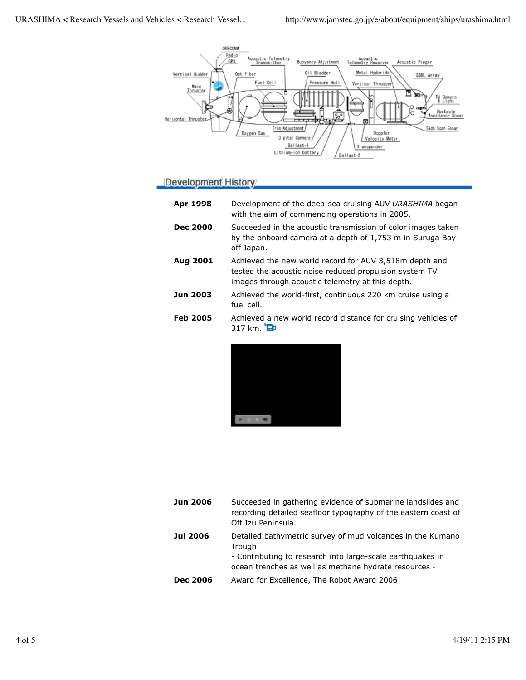

# **Development History**

| Apr 1998        | Development of the deep-sea cruising AUV URASHIMA began<br>with the aim of commencing operations in 2005.                                                            |
|-----------------|----------------------------------------------------------------------------------------------------------------------------------------------------------------------|
| <b>Dec 2000</b> | Succeeded in the acoustic transmission of color images taken<br>by the onboard camera at a depth of 1,753 m in Suruga Bay<br>off Japan.                              |
| Aug 2001        | Achieved the new world record for AUV 3,518m depth and<br>tested the acoustic noise reduced propulsion system TV<br>images through acoustic telemetry at this depth. |
| <b>Jun 2003</b> | Achieved the world-first, continuous 220 km cruise using a<br>fuel cell.                                                                                             |
| <b>Feb 2005</b> | Achieved a new world record distance for cruising vehicles of<br>$317 \text{ km}$ .                                                                                  |



| <b>Jun 2006</b> | Succeeded in gathering evidence of submarine landslides and<br>recording detailed seafloor typography of the eastern coast of<br>Off Izu Peninsula.                                         |
|-----------------|---------------------------------------------------------------------------------------------------------------------------------------------------------------------------------------------|
| <b>Jul 2006</b> | Detailed bathymetric survey of mud volcanoes in the Kumano<br>Trough<br>- Contributing to research into large-scale earthquakes in<br>ocean trenches as well as methane hydrate resources - |
| <b>Dec 2006</b> | Award for Excellence, The Robot Award 2006                                                                                                                                                  |